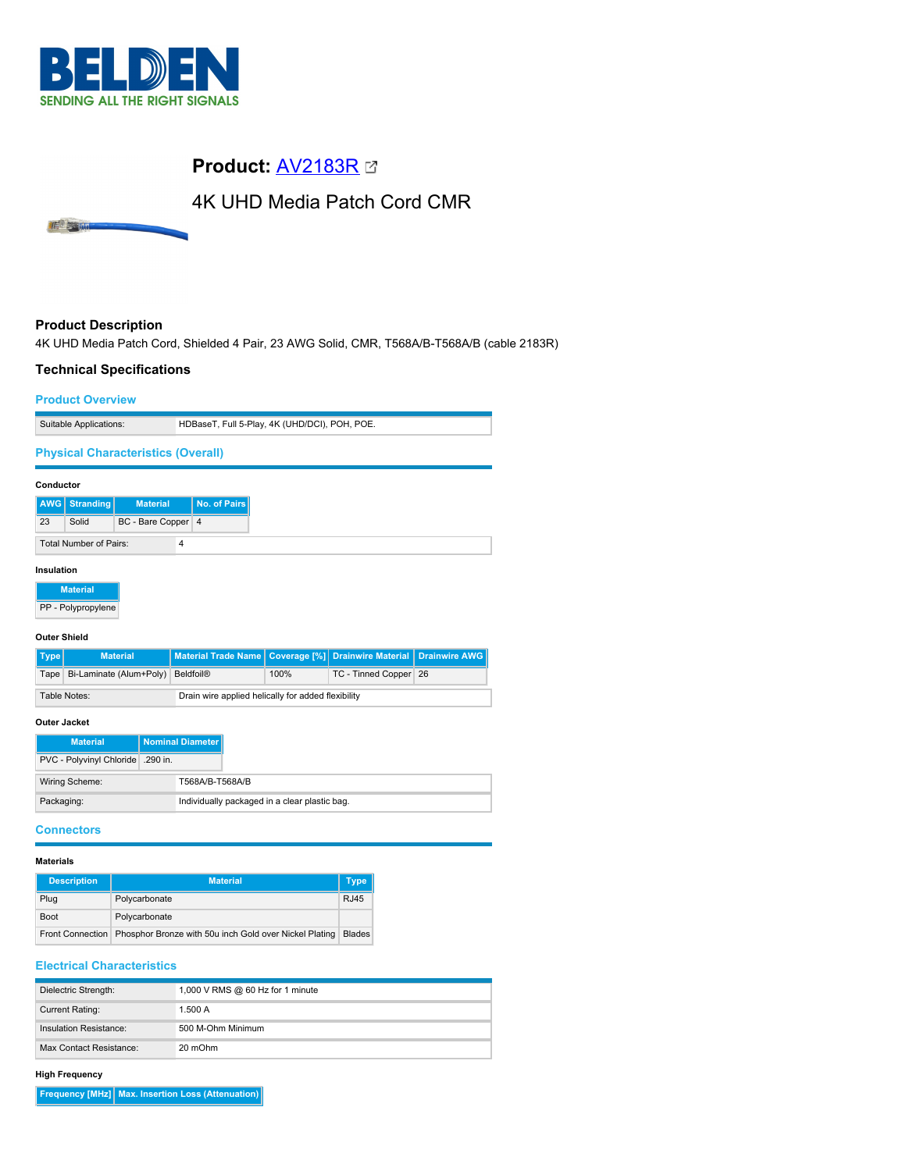

# **Product:** [AV2183R](https://catalog.belden.com/index.cfm?event=pd&p=PF_AV2183R&tab=downloads)

# 4K UHD Media Patch Cord CMR

# **Product Description**

IE STRUC

4K UHD Media Patch Cord, Shielded 4 Pair, 23 AWG Solid, CMR, T568A/B-T568A/B (cable 2183R)

## **Technical Specifications**

#### **Product Overview**

| Suitable Applications:                    | HDBaseT, Full 5-Play, 4K (UHD/DCI), POH, POE. |
|-------------------------------------------|-----------------------------------------------|
| <b>Physical Characteristics (Overall)</b> |                                               |

# **Conductor AWG Stranding Material No. of Pairs** 23 Solid BC - Bare Copper 4 Total Number of Pairs: 4 **Insulation**

**Material** PP - Polypropylene

#### **Outer Shield**

| Type                | <b>Material</b>                                                    | Material Trade Name   Coverage [%]   Drainwire Material   Drainwire AWG |      |                       |  |
|---------------------|--------------------------------------------------------------------|-------------------------------------------------------------------------|------|-----------------------|--|
|                     | Tape   Bi-Laminate (Alum+Poly)   Beldfoil®                         |                                                                         | 100% | TC - Tinned Copper 26 |  |
|                     | Drain wire applied helically for added flexibility<br>Table Notes: |                                                                         |      |                       |  |
| <b>Outer Jacket</b> |                                                                    |                                                                         |      |                       |  |

| <b>Material</b>                  | Nominal Diameter                              |
|----------------------------------|-----------------------------------------------|
| PVC - Polyvinyl Chloride 390 in. |                                               |
| Wiring Scheme:                   | T568A/B-T568A/B                               |
| Packaging:                       | Individually packaged in a clear plastic bag. |

#### **Connectors**

#### **Materials**

| <b>Description</b> | <b>Material</b>                                        | Type          |
|--------------------|--------------------------------------------------------|---------------|
| Plug               | Polycarbonate                                          | <b>RJ45</b>   |
| <b>Boot</b>        | Polycarbonate                                          |               |
| Front Connection   | Phosphor Bronze with 50u inch Gold over Nickel Plating | <b>Blades</b> |

### **Electrical Characteristics**

| Dielectric Strength:    | 1,000 V RMS @ 60 Hz for 1 minute |
|-------------------------|----------------------------------|
| <b>Current Rating:</b>  | 1.500A                           |
| Insulation Resistance:  | 500 M-Ohm Minimum                |
| Max Contact Resistance: | 20 mOhm                          |

#### **High Frequency**

**Frequency [MHz] Max. Insertion Loss (Attenuation)**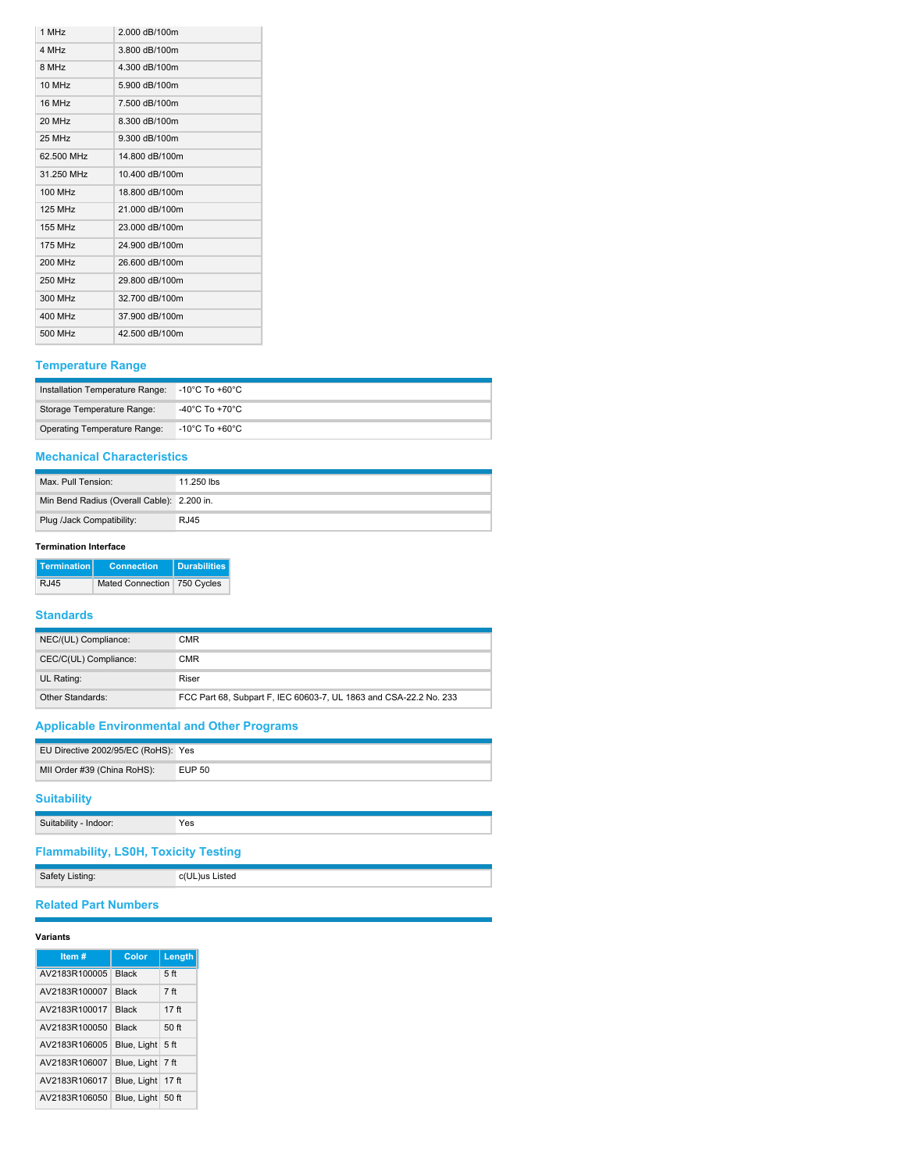| 2.000 dB/100m  |
|----------------|
| 3.800 dB/100m  |
| 4.300 dB/100m  |
| 5.900 dB/100m  |
| 7.500 dB/100m  |
| 8.300 dB/100m  |
| 9.300 dB/100m  |
| 14.800 dB/100m |
| 10.400 dB/100m |
| 18.800 dB/100m |
| 21.000 dB/100m |
| 23.000 dB/100m |
| 24.900 dB/100m |
| 26.600 dB/100m |
| 29.800 dB/100m |
| 32.700 dB/100m |
| 37.900 dB/100m |
| 42.500 dB/100m |
|                |

# **Temperature Range**

| Installation Temperature Range: -10°C To +60°C |                                  |
|------------------------------------------------|----------------------------------|
| Storage Temperature Range:                     | -40°C To +70°C                   |
| Operating Temperature Range:                   | $^\circ$ -10°C To +60°C $^\circ$ |

# **Mechanical Characteristics**

| Max. Pull Tension:                         | 11.250 lbs  |
|--------------------------------------------|-------------|
| Min Bend Radius (Overall Cable): 2.200 in. |             |
| Plug /Jack Compatibility:                  | <b>RJ45</b> |

### **Termination Interface**

| <b>Termination</b> | <b>Connection</b>             | I Durabilities I |
|--------------------|-------------------------------|------------------|
| RJ45               | Mated Connection   750 Cycles |                  |

## **Standards**

| NEC/(UL) Compliance:  | CMR                                                               |
|-----------------------|-------------------------------------------------------------------|
| CEC/C(UL) Compliance: | <b>CMR</b>                                                        |
| UL Rating:            | Riser                                                             |
| Other Standards:      | FCC Part 68, Subpart F, IEC 60603-7, UL 1863 and CSA-22.2 No. 233 |

# **Applicable Environmental and Other Programs**

| EU Directive 2002/95/EC (RoHS): Yes |               |
|-------------------------------------|---------------|
| MII Order #39 (China RoHS):         | <b>EUP 50</b> |

# **Suitability**

| Suitability - Indoor: | Yes |
|-----------------------|-----|
|-----------------------|-----|

**Flammability, LS0H, Toxicity Testing**

| Safety Listing: | c(UL)us Listed |
|-----------------|----------------|
|                 |                |

## **Related Part Numbers**

#### **Variants**

| Item#         | Color        | Length           |
|---------------|--------------|------------------|
| AV2183R100005 | <b>Black</b> | 5 <sub>ft</sub>  |
| AV2183R100007 | <b>Black</b> | 7 <sub>ft</sub>  |
| AV2183R100017 | <b>Black</b> | 17 <sub>ft</sub> |
| AV2183R100050 | <b>Black</b> | 50 ft            |
| AV2183R106005 | Blue, Light  | 5 <sub>ft</sub>  |
| AV2183R106007 | Blue, Light  | 7 ft             |
| AV2183R106017 | Blue, Light  | 17 ft            |
| AV2183R106050 | Blue, Light  | 50 ft            |